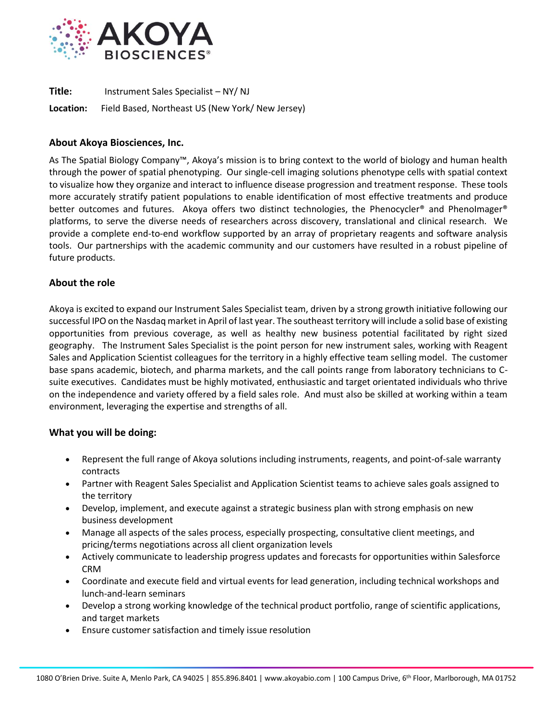

**Title:** Instrument Sales Specialist – NY/ NJ

**Location:** Field Based, Northeast US (New York/ New Jersey)

## **About Akoya Biosciences, Inc.**

As The Spatial Biology Company™, Akoya's mission is to bring context to the world of biology and human health through the power of spatial phenotyping. Our single-cell imaging solutions phenotype cells with spatial context to visualize how they organize and interact to influence disease progression and treatment response. These tools more accurately stratify patient populations to enable identification of most effective treatments and produce better outcomes and futures. Akoya offers two distinct technologies, the Phenocycler® and PhenoImager® platforms, to serve the diverse needs of researchers across discovery, translational and clinical research. We provide a complete end-to-end workflow supported by an array of proprietary reagents and software analysis tools. Our partnerships with the academic community and our customers have resulted in a robust pipeline of future products.

# **About the role**

Akoya is excited to expand our Instrument Sales Specialist team, driven by a strong growth initiative following our successful IPO on the Nasdaq market in April of last year. The southeast territory will include a solid base of existing opportunities from previous coverage, as well as healthy new business potential facilitated by right sized geography. The Instrument Sales Specialist is the point person for new instrument sales, working with Reagent Sales and Application Scientist colleagues for the territory in a highly effective team selling model. The customer base spans academic, biotech, and pharma markets, and the call points range from laboratory technicians to Csuite executives. Candidates must be highly motivated, enthusiastic and target orientated individuals who thrive on the independence and variety offered by a field sales role. And must also be skilled at working within a team environment, leveraging the expertise and strengths of all.

## **What you will be doing:**

- Represent the full range of Akoya solutions including instruments, reagents, and point-of-sale warranty contracts
- Partner with Reagent Sales Specialist and Application Scientist teams to achieve sales goals assigned to the territory
- Develop, implement, and execute against a strategic business plan with strong emphasis on new business development
- Manage all aspects of the sales process, especially prospecting, consultative client meetings, and pricing/terms negotiations across all client organization levels
- Actively communicate to leadership progress updates and forecasts for opportunities within Salesforce CRM
- Coordinate and execute field and virtual events for lead generation, including technical workshops and lunch-and-learn seminars
- Develop a strong working knowledge of the technical product portfolio, range of scientific applications, and target markets
- Ensure customer satisfaction and timely issue resolution